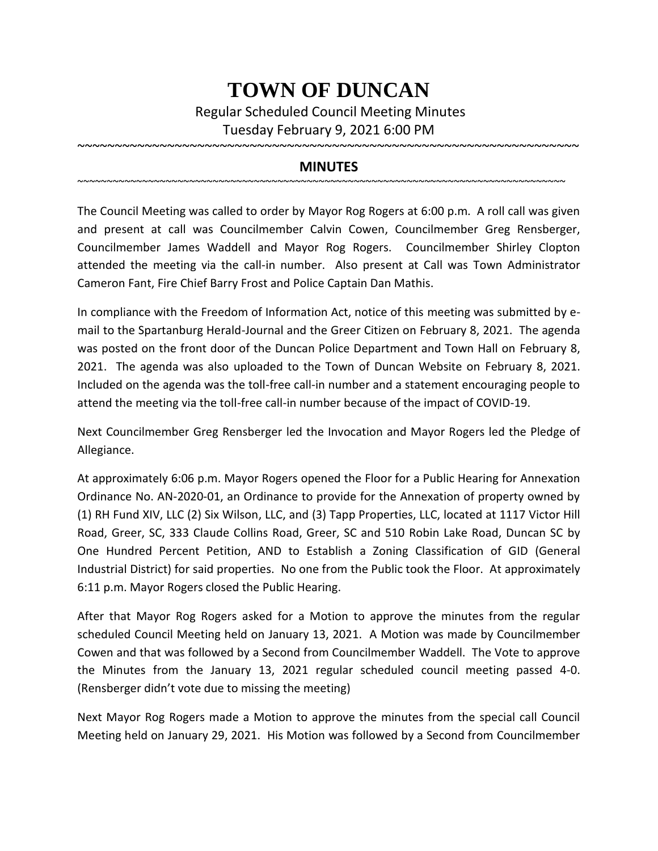## **TOWN OF DUNCAN**

Regular Scheduled Council Meeting Minutes Tuesday February 9, 2021 6:00 PM

## **MINUTES**

~~~~~~~~~~~~~~~~~~~~~~~~~~~~~~~~~~~~~~~~~~~~~~~~~~~~~~~~~~~~~~~~~~~~~~~~~~~~~~~~~~~

~~~~~~~~~~~~~~~~~~~~~~~~~~~~~~~~~~~~~~~~~~~~~~~~~~~~~~~~~~~~~~~~~~~

The Council Meeting was called to order by Mayor Rog Rogers at 6:00 p.m. A roll call was given and present at call was Councilmember Calvin Cowen, Councilmember Greg Rensberger, Councilmember James Waddell and Mayor Rog Rogers. Councilmember Shirley Clopton attended the meeting via the call-in number. Also present at Call was Town Administrator Cameron Fant, Fire Chief Barry Frost and Police Captain Dan Mathis.

In compliance with the Freedom of Information Act, notice of this meeting was submitted by email to the Spartanburg Herald-Journal and the Greer Citizen on February 8, 2021. The agenda was posted on the front door of the Duncan Police Department and Town Hall on February 8, 2021. The agenda was also uploaded to the Town of Duncan Website on February 8, 2021. Included on the agenda was the toll-free call-in number and a statement encouraging people to attend the meeting via the toll-free call-in number because of the impact of COVID-19.

Next Councilmember Greg Rensberger led the Invocation and Mayor Rogers led the Pledge of Allegiance.

At approximately 6:06 p.m. Mayor Rogers opened the Floor for a Public Hearing for Annexation Ordinance No. AN-2020-01, an Ordinance to provide for the Annexation of property owned by (1) RH Fund XIV, LLC (2) Six Wilson, LLC, and (3) Tapp Properties, LLC, located at 1117 Victor Hill Road, Greer, SC, 333 Claude Collins Road, Greer, SC and 510 Robin Lake Road, Duncan SC by One Hundred Percent Petition, AND to Establish a Zoning Classification of GID (General Industrial District) for said properties. No one from the Public took the Floor. At approximately 6:11 p.m. Mayor Rogers closed the Public Hearing.

After that Mayor Rog Rogers asked for a Motion to approve the minutes from the regular scheduled Council Meeting held on January 13, 2021. A Motion was made by Councilmember Cowen and that was followed by a Second from Councilmember Waddell. The Vote to approve the Minutes from the January 13, 2021 regular scheduled council meeting passed 4-0. (Rensberger didn't vote due to missing the meeting)

Next Mayor Rog Rogers made a Motion to approve the minutes from the special call Council Meeting held on January 29, 2021. His Motion was followed by a Second from Councilmember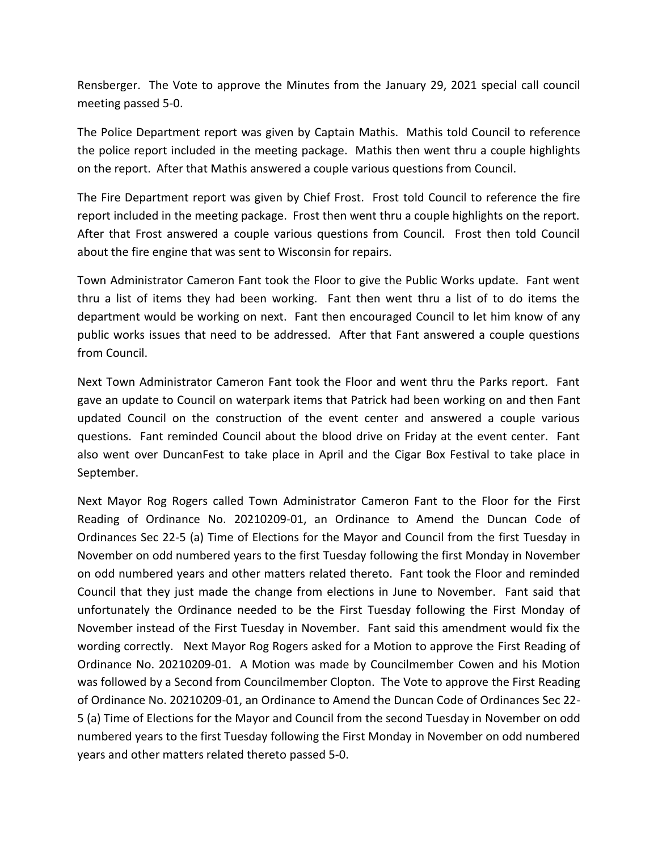Rensberger. The Vote to approve the Minutes from the January 29, 2021 special call council meeting passed 5-0.

The Police Department report was given by Captain Mathis. Mathis told Council to reference the police report included in the meeting package. Mathis then went thru a couple highlights on the report. After that Mathis answered a couple various questions from Council.

The Fire Department report was given by Chief Frost. Frost told Council to reference the fire report included in the meeting package. Frost then went thru a couple highlights on the report. After that Frost answered a couple various questions from Council. Frost then told Council about the fire engine that was sent to Wisconsin for repairs.

Town Administrator Cameron Fant took the Floor to give the Public Works update. Fant went thru a list of items they had been working. Fant then went thru a list of to do items the department would be working on next. Fant then encouraged Council to let him know of any public works issues that need to be addressed. After that Fant answered a couple questions from Council.

Next Town Administrator Cameron Fant took the Floor and went thru the Parks report. Fant gave an update to Council on waterpark items that Patrick had been working on and then Fant updated Council on the construction of the event center and answered a couple various questions. Fant reminded Council about the blood drive on Friday at the event center. Fant also went over DuncanFest to take place in April and the Cigar Box Festival to take place in September.

Next Mayor Rog Rogers called Town Administrator Cameron Fant to the Floor for the First Reading of Ordinance No. 20210209-01, an Ordinance to Amend the Duncan Code of Ordinances Sec 22-5 (a) Time of Elections for the Mayor and Council from the first Tuesday in November on odd numbered years to the first Tuesday following the first Monday in November on odd numbered years and other matters related thereto. Fant took the Floor and reminded Council that they just made the change from elections in June to November. Fant said that unfortunately the Ordinance needed to be the First Tuesday following the First Monday of November instead of the First Tuesday in November. Fant said this amendment would fix the wording correctly. Next Mayor Rog Rogers asked for a Motion to approve the First Reading of Ordinance No. 20210209-01. A Motion was made by Councilmember Cowen and his Motion was followed by a Second from Councilmember Clopton. The Vote to approve the First Reading of Ordinance No. 20210209-01, an Ordinance to Amend the Duncan Code of Ordinances Sec 22- 5 (a) Time of Elections for the Mayor and Council from the second Tuesday in November on odd numbered years to the first Tuesday following the First Monday in November on odd numbered years and other matters related thereto passed 5-0.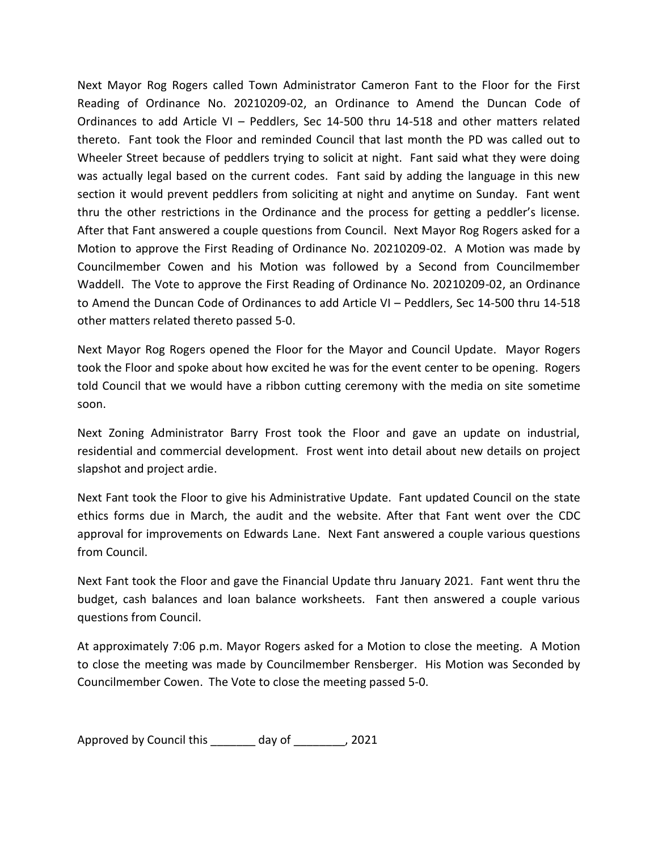Next Mayor Rog Rogers called Town Administrator Cameron Fant to the Floor for the First Reading of Ordinance No. 20210209-02, an Ordinance to Amend the Duncan Code of Ordinances to add Article VI – Peddlers, Sec 14-500 thru 14-518 and other matters related thereto. Fant took the Floor and reminded Council that last month the PD was called out to Wheeler Street because of peddlers trying to solicit at night. Fant said what they were doing was actually legal based on the current codes. Fant said by adding the language in this new section it would prevent peddlers from soliciting at night and anytime on Sunday. Fant went thru the other restrictions in the Ordinance and the process for getting a peddler's license. After that Fant answered a couple questions from Council. Next Mayor Rog Rogers asked for a Motion to approve the First Reading of Ordinance No. 20210209-02. A Motion was made by Councilmember Cowen and his Motion was followed by a Second from Councilmember Waddell. The Vote to approve the First Reading of Ordinance No. 20210209-02, an Ordinance to Amend the Duncan Code of Ordinances to add Article VI – Peddlers, Sec 14-500 thru 14-518 other matters related thereto passed 5-0.

Next Mayor Rog Rogers opened the Floor for the Mayor and Council Update. Mayor Rogers took the Floor and spoke about how excited he was for the event center to be opening. Rogers told Council that we would have a ribbon cutting ceremony with the media on site sometime soon.

Next Zoning Administrator Barry Frost took the Floor and gave an update on industrial, residential and commercial development. Frost went into detail about new details on project slapshot and project ardie.

Next Fant took the Floor to give his Administrative Update. Fant updated Council on the state ethics forms due in March, the audit and the website. After that Fant went over the CDC approval for improvements on Edwards Lane. Next Fant answered a couple various questions from Council.

Next Fant took the Floor and gave the Financial Update thru January 2021. Fant went thru the budget, cash balances and loan balance worksheets. Fant then answered a couple various questions from Council.

At approximately 7:06 p.m. Mayor Rogers asked for a Motion to close the meeting. A Motion to close the meeting was made by Councilmember Rensberger. His Motion was Seconded by Councilmember Cowen. The Vote to close the meeting passed 5-0.

Approved by Council this \_\_\_\_\_\_\_ day of \_\_\_\_\_\_\_\_, 2021